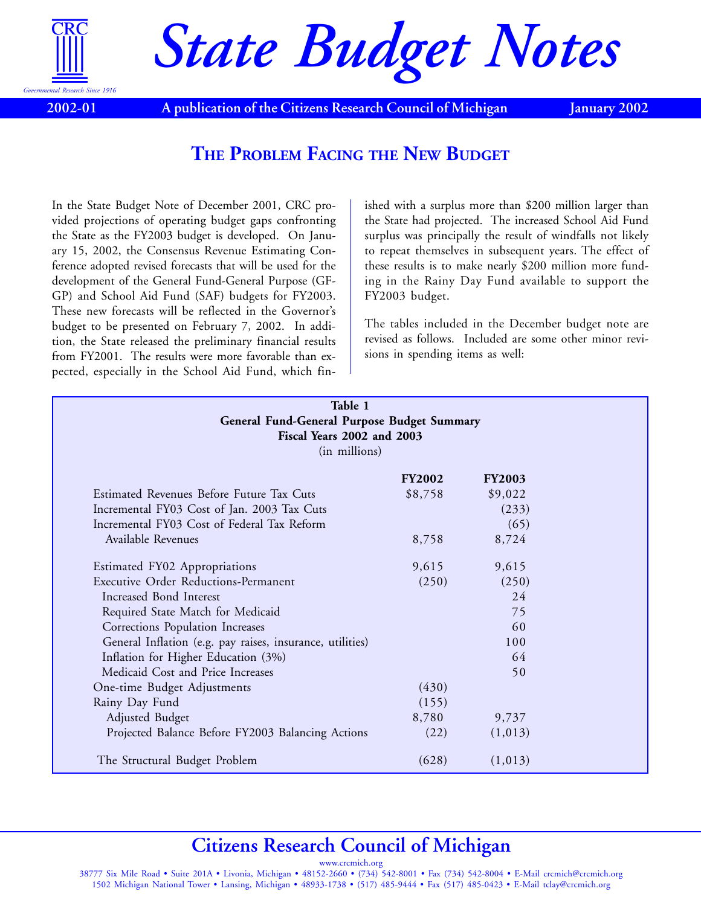

*State Budget Notes*

**2002-01**

A publication of the Citizens Research Council of Michigan January 2002

## **THE PROBLEM FACING THE NEW BUDGET**

In the [State Budget Note of December 2001,](www.crcmich.org/publicat/2000s/2001/sbn12-01.pdf) CRC provided projections of operating budget gaps confronting the State as the FY2003 budget is developed. On January 15, 2002, the Consensus Revenue Estimating Conference adopted revised forecasts that will be used for the development of the General Fund-General Purpose (GF-GP) and School Aid Fund (SAF) budgets for FY2003. These new forecasts will be reflected in the Governor's budget to be presented on February 7, 2002. In addition, the State released the preliminary financial results from FY2001. The results were more favorable than expected, especially in the School Aid Fund, which finished with a surplus more than \$200 million larger than the State had projected. The increased School Aid Fund surplus was principally the result of windfalls not likely to repeat themselves in subsequent years. The effect of these results is to make nearly \$200 million more funding in the Rainy Day Fund available to support the FY2003 budget.

The tables included in the December budget note are revised as follows. Included are some other minor revisions in spending items as well:

| Table 1<br>General Fund-General Purpose Budget Summary<br>Fiscal Years 2002 and 2003<br>(in millions) |               |               |  |  |
|-------------------------------------------------------------------------------------------------------|---------------|---------------|--|--|
|                                                                                                       | <b>FY2002</b> | <b>FY2003</b> |  |  |
| Estimated Revenues Before Future Tax Cuts                                                             | \$8,758       | \$9,022       |  |  |
| Incremental FY03 Cost of Jan. 2003 Tax Cuts                                                           |               | (233)         |  |  |
| Incremental FY03 Cost of Federal Tax Reform                                                           |               | (65)          |  |  |
| Available Revenues                                                                                    | 8,758         | 8,724         |  |  |
| Estimated FY02 Appropriations                                                                         | 9,615         | 9,615         |  |  |
| <b>Executive Order Reductions-Permanent</b>                                                           | (250)         | (250)         |  |  |
| Increased Bond Interest                                                                               |               | 24            |  |  |
| Required State Match for Medicaid                                                                     |               | 75            |  |  |
| Corrections Population Increases                                                                      |               | 60            |  |  |
| General Inflation (e.g. pay raises, insurance, utilities)                                             |               | 100           |  |  |
| Inflation for Higher Education (3%)                                                                   |               | 64            |  |  |
| Medicaid Cost and Price Increases                                                                     |               | 50            |  |  |
| One-time Budget Adjustments                                                                           | (430)         |               |  |  |
| Rainy Day Fund                                                                                        | (155)         |               |  |  |
| Adjusted Budget                                                                                       | 8,780         | 9,737         |  |  |
| Projected Balance Before FY2003 Balancing Actions                                                     | (22)          | (1,013)       |  |  |
| The Structural Budget Problem                                                                         | (628)         | (1,013)       |  |  |

# **Citizens Research Council of Michigan**

www.crcmich.org 38777 Six Mile Road • Suite 201A • Livonia, Michigan • 48152-2660 • (734) 542-8001 • Fax (734) 542-8004 • E-Mail crcmich@crcmich.org 1502 Michigan National Tower • Lansing, Michigan • 48933-1738 • (517) 485-9444 • Fax (517) 485-0423 • E-Mail tclay@crcmich.org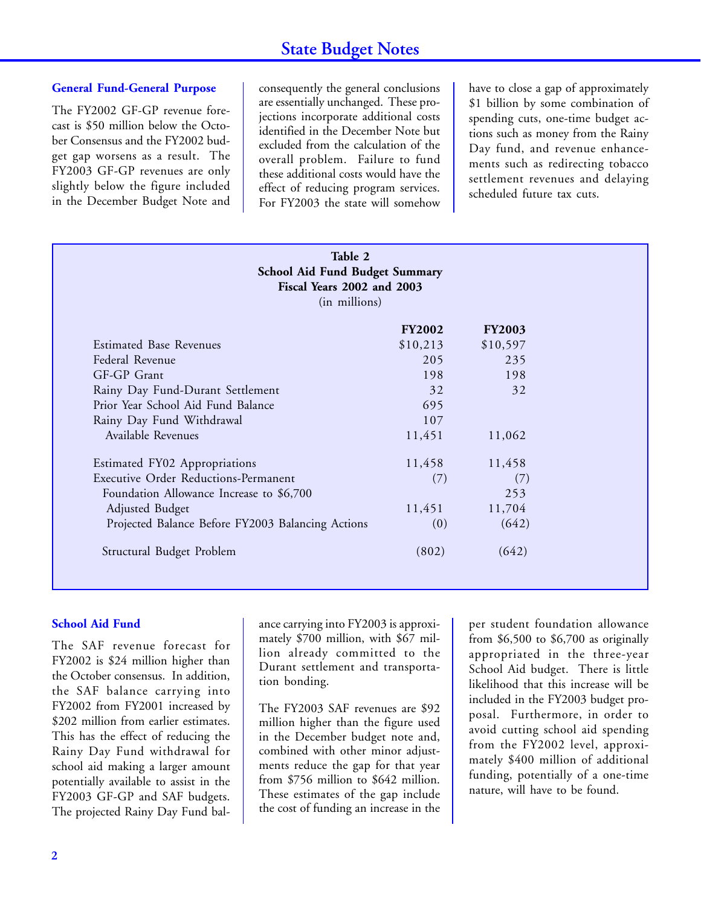#### **General Fund-General Purpose**

The FY2002 GF-GP revenue forecast is \$50 million below the October Consensus and the FY2002 budget gap worsens as a result. The FY2003 GF-GP revenues are only slightly below the figure included in the December Budget Note and consequently the general conclusions are essentially unchanged. These projections incorporate additional costs identified in the December Note but excluded from the calculation of the overall problem. Failure to fund these additional costs would have the effect of reducing program services. For FY2003 the state will somehow

have to close a gap of approximately \$1 billion by some combination of spending cuts, one-time budget actions such as money from the Rainy Day fund, and revenue enhancements such as redirecting tobacco settlement revenues and delaying scheduled future tax cuts.

| Table 2<br>School Aid Fund Budget Summary<br>Fiscal Years 2002 and 2003<br>(in millions) |               |               |  |  |
|------------------------------------------------------------------------------------------|---------------|---------------|--|--|
|                                                                                          | <b>FY2002</b> | <b>FY2003</b> |  |  |
| <b>Estimated Base Revenues</b>                                                           | \$10,213      | \$10,597      |  |  |
| Federal Revenue                                                                          | 205           | 235           |  |  |
| GF-GP Grant                                                                              | 198           | 198           |  |  |
| Rainy Day Fund-Durant Settlement                                                         | 32            | 32            |  |  |
| Prior Year School Aid Fund Balance                                                       | 695           |               |  |  |
| Rainy Day Fund Withdrawal                                                                | 107           |               |  |  |
| Available Revenues                                                                       | 11,451        | 11,062        |  |  |
| Estimated FY02 Appropriations                                                            | 11,458        | 11,458        |  |  |
| <b>Executive Order Reductions-Permanent</b>                                              | (7)           | (7)           |  |  |
| Foundation Allowance Increase to \$6,700                                                 |               | 253           |  |  |
| Adjusted Budget                                                                          | 11,451        | 11,704        |  |  |
| Projected Balance Before FY2003 Balancing Actions                                        | (0)           | (642)         |  |  |
| Structural Budget Problem                                                                | (802)         | (642)         |  |  |

#### **School Aid Fund**

The SAF revenue forecast for FY2002 is \$24 million higher than the October consensus. In addition, the SAF balance carrying into FY2002 from FY2001 increased by \$202 million from earlier estimates. This has the effect of reducing the Rainy Day Fund withdrawal for school aid making a larger amount potentially available to assist in the FY2003 GF-GP and SAF budgets. The projected Rainy Day Fund balance carrying into FY2003 is approximately \$700 million, with \$67 million already committed to the Durant settlement and transportation bonding.

The FY2003 SAF revenues are \$92 million higher than the figure used in the December budget note and, combined with other minor adjustments reduce the gap for that year from \$756 million to \$642 million. These estimates of the gap include the cost of funding an increase in the

per student foundation allowance from \$6,500 to \$6,700 as originally appropriated in the three-year School Aid budget. There is little likelihood that this increase will be included in the FY2003 budget proposal. Furthermore, in order to avoid cutting school aid spending from the FY2002 level, approximately \$400 million of additional funding, potentially of a one-time nature, will have to be found.